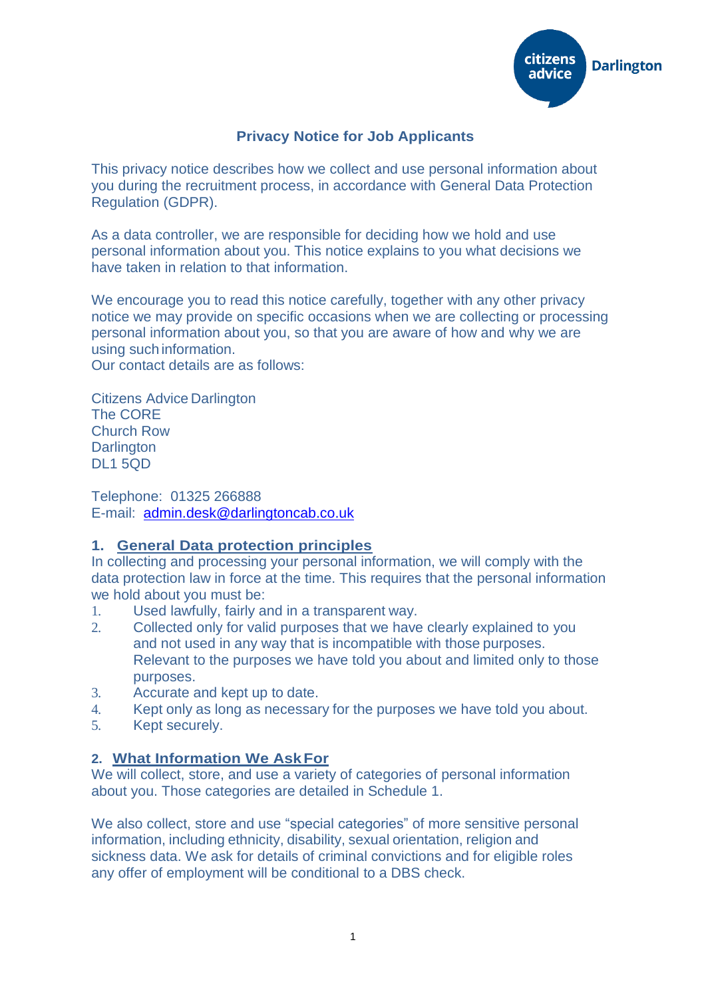

## **Privacy Notice for Job Applicants**

This privacy notice describes how we collect and use personal information about you during the recruitment process, in accordance with General Data Protection Regulation (GDPR).

As a data controller, we are responsible for deciding how we hold and use personal information about you. This notice explains to you what decisions we have taken in relation to that information.

We encourage you to read this notice carefully, together with any other privacy notice we may provide on specific occasions when we are collecting or processing personal information about you, so that you are aware of how and why we are using such information.

Our contact details are as follows:

Citizens Advice Darlington The CORE Church Row **Darlington** DL1 5QD

Telephone: 01325 266888 E-mail: [admin.desk@darlingtoncab.co.uk](mailto:admin.desk@darlingtoncab.co.uk)

#### **1. General Data protection principles**

In collecting and processing your personal information, we will comply with the data protection law in force at the time. This requires that the personal information we hold about you must be:

- 1. Used lawfully, fairly and in a transparent way.
- 2. Collected only for valid purposes that we have clearly explained to you and not used in any way that is incompatible with those purposes. Relevant to the purposes we have told you about and limited only to those purposes.
- 3. Accurate and kept up to date.
- 4. Kept only as long as necessary for the purposes we have told you about.
- 5. Kept securely.

#### **2. What Information We AskFor**

We will collect, store, and use a variety of categories of personal information about you. Those categories are detailed in Schedule 1.

We also collect, store and use "special categories" of more sensitive personal information, including ethnicity, disability, sexual orientation, religion and sickness data. We ask for details of criminal convictions and for eligible roles any offer of employment will be conditional to a DBS check.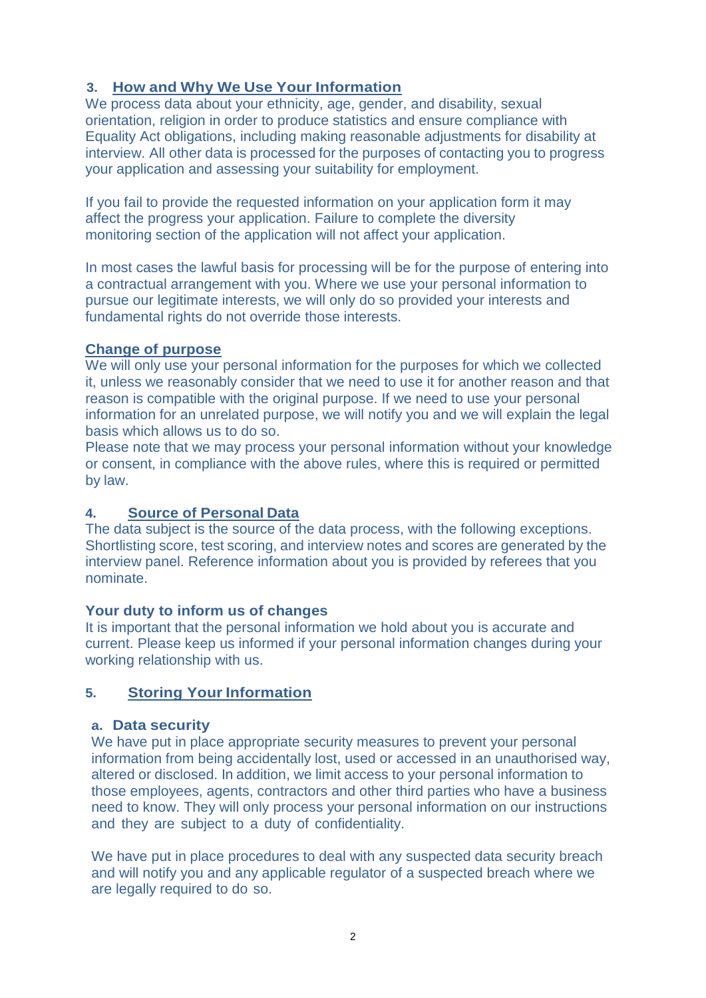# **3. How and Why We Use Your Information**

We process data about your ethnicity, age, gender, and disability, sexual orientation, religion in order to produce statistics and ensure compliance with Equality Act obligations, including making reasonable adjustments for disability at interview. All other data is processed for the purposes of contacting you to progress your application and assessing your suitability for employment.

If you fail to provide the requested information on your application form it may affect the progress your application. Failure to complete the diversity monitoring section of the application will not affect your application.

In most cases the lawful basis for processing will be for the purpose of entering into a contractual arrangement with you. Where we use your personal information to pursue our legitimate interests, we will only do so provided your interests and fundamental rights do not override those interests.

## **Change of purpose**

We will only use your personal information for the purposes for which we collected it, unless we reasonably consider that we need to use it for another reason and that reason is compatible with the original purpose. If we need to use your personal information for an unrelated purpose, we will notify you and we will explain the legal basis which allows us to do so.

Please note that we may process your personal information without your knowledge or consent, in compliance with the above rules, where this is required or permitted by law.

## **4. Source of Personal Data**

The data subject is the source of the data process, with the following exceptions. Shortlisting score, test scoring, and interview notes and scores are generated by the interview panel. Reference information about you is provided by referees that you nominate.

## **Your duty to inform us of changes**

It is important that the personal information we hold about you is accurate and current. Please keep us informed if your personal information changes during your working relationship with us.

## **5. Storing Your Information**

## **a. Data security**

We have put in place appropriate security measures to prevent your personal information from being accidentally lost, used or accessed in an unauthorised way, altered or disclosed. In addition, we limit access to your personal information to those employees, agents, contractors and other third parties who have a business need to know. They will only process your personal information on our instructions and they are subject to a duty of confidentiality.

We have put in place procedures to deal with any suspected data security breach and will notify you and any applicable regulator of a suspected breach where we are legally required to do so.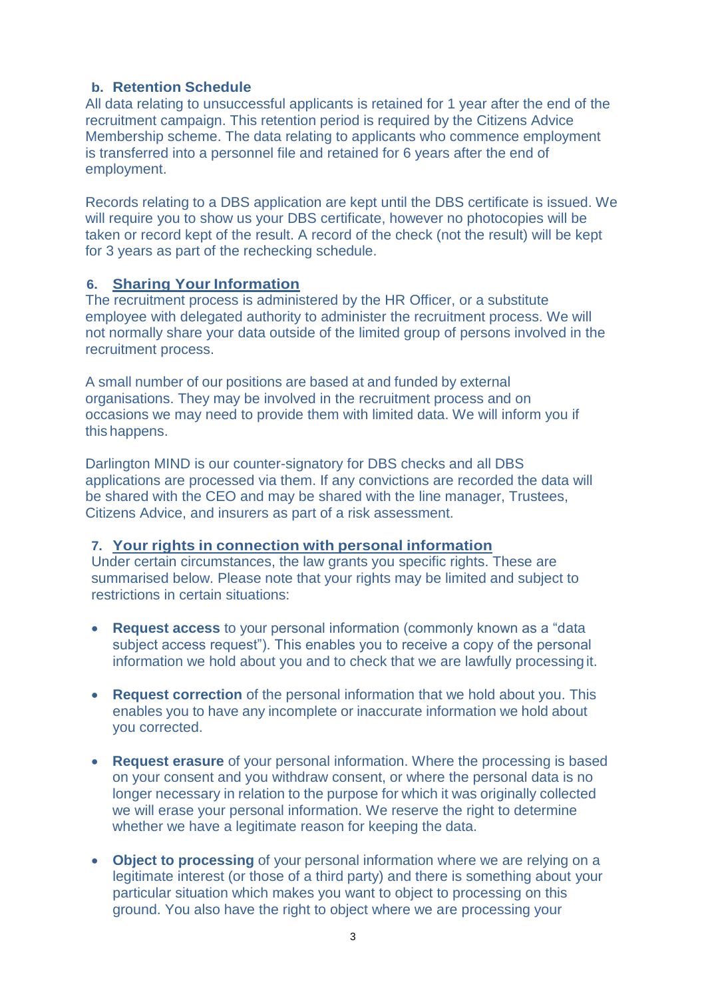### **b. Retention Schedule**

All data relating to unsuccessful applicants is retained for 1 year after the end of the recruitment campaign. This retention period is required by the Citizens Advice Membership scheme. The data relating to applicants who commence employment is transferred into a personnel file and retained for 6 years after the end of employment.

Records relating to a DBS application are kept until the DBS certificate is issued. We will require you to show us your DBS certificate, however no photocopies will be taken or record kept of the result. A record of the check (not the result) will be kept for 3 years as part of the rechecking schedule.

### **6. Sharing Your Information**

The recruitment process is administered by the HR Officer, or a substitute employee with delegated authority to administer the recruitment process. We will not normally share your data outside of the limited group of persons involved in the recruitment process.

A small number of our positions are based at and funded by external organisations. They may be involved in the recruitment process and on occasions we may need to provide them with limited data. We will inform you if this happens.

Darlington MIND is our counter-signatory for DBS checks and all DBS applications are processed via them. If any convictions are recorded the data will be shared with the CEO and may be shared with the line manager, Trustees, Citizens Advice, and insurers as part of a risk assessment.

## **7. Your rights in connection with personal information**

Under certain circumstances, the law grants you specific rights. These are summarised below. Please note that your rights may be limited and subject to restrictions in certain situations:

- **Request access** to your personal information (commonly known as a "data subject access request"). This enables you to receive a copy of the personal information we hold about you and to check that we are lawfully processing it.
- **Request correction** of the personal information that we hold about you. This enables you to have any incomplete or inaccurate information we hold about you corrected.
- **Request erasure** of your personal information. Where the processing is based on your consent and you withdraw consent, or where the personal data is no longer necessary in relation to the purpose for which it was originally collected we will erase your personal information. We reserve the right to determine whether we have a legitimate reason for keeping the data.
- **Object to processing** of your personal information where we are relying on a legitimate interest (or those of a third party) and there is something about your particular situation which makes you want to object to processing on this ground. You also have the right to object where we are processing your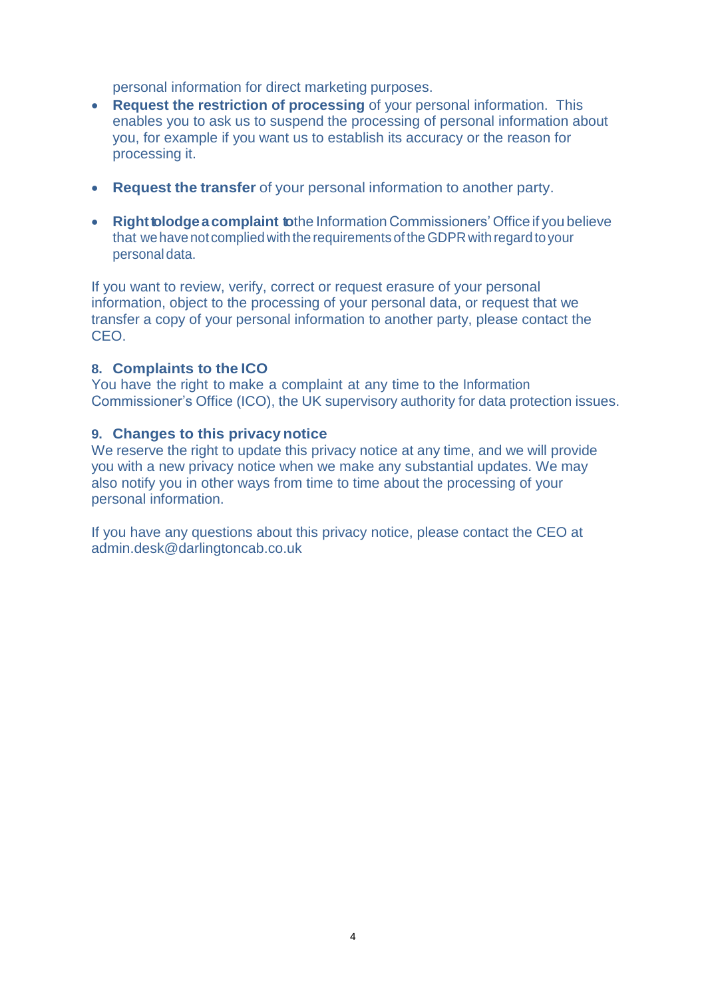personal information for direct marketing purposes.

- **Request the restriction of processing** of your personal information. This enables you to ask us to suspend the processing of personal information about you, for example if you want us to establish its accuracy or the reason for processing it.
- **Request the transfer** of your personal information to another party.
- **Right tolodge a complaint to**the Information Commissioners' Office if you believe that we have not complied with the requirements of theGDPR with regard to your personal data.

If you want to review, verify, correct or request erasure of your personal information, object to the processing of your personal data, or request that we transfer a copy of your personal information to another party, please contact the CEO.

#### **8. Complaints to the ICO**

You have the right to make a complaint at any time to the Information Commissioner's Office (ICO), the UK supervisory authority for data protection issues.

#### **9. Changes to this privacy notice**

We reserve the right to update this privacy notice at any time, and we will provide you with a new privacy notice when we make any substantial updates. We may also notify you in other ways from time to time about the processing of your personal information.

If you have any questions about this privacy notice, please contact the CEO at [admin.desk@darlingtoncab.co.uk](mailto:info@cawandsworth.org)